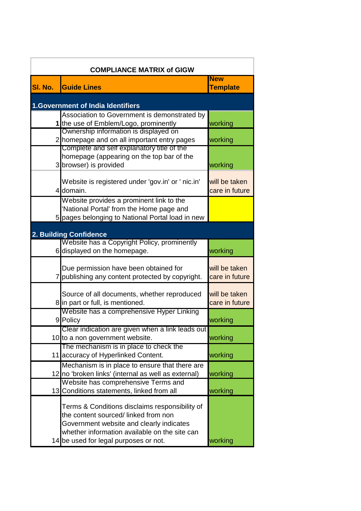| <b>COMPLIANCE MATRIX of GIGW</b>                                                          |                 |  |
|-------------------------------------------------------------------------------------------|-----------------|--|
|                                                                                           | <b>New</b>      |  |
| SI. No.<br><b>Guide Lines</b>                                                             | <b>Template</b> |  |
| <b>1.Government of India Identifiers</b>                                                  |                 |  |
| Association to Government is demonstrated by                                              |                 |  |
| 1 the use of Emblem/Logo, prominently                                                     | working         |  |
| Ownership information is displayed on                                                     |                 |  |
| 2 homepage and on all important entry pages<br>Complete and self explanatory title of the | working         |  |
| homepage (appearing on the top bar of the                                                 |                 |  |
| 3 browser) is provided                                                                    | working         |  |
|                                                                                           |                 |  |
| Website is registered under 'gov.in' or ' nic.in'                                         | will be taken   |  |
| domain.<br>$\overline{4}$                                                                 | care in future  |  |
| Website provides a prominent link to the                                                  |                 |  |
| 'National Portal' from the Home page and                                                  |                 |  |
| 5 pages belonging to National Portal load in new                                          |                 |  |
|                                                                                           |                 |  |
| 2. Building Confidence<br>Website has a Copyright Policy, prominently                     |                 |  |
| 6 displayed on the homepage.                                                              | working         |  |
|                                                                                           |                 |  |
| Due permission have been obtained for                                                     | will be taken   |  |
| 7 publishing any content protected by copyright.                                          | care in future  |  |
|                                                                                           |                 |  |
| Source of all documents, whether reproduced                                               | will be taken   |  |
| 8 in part or full, is mentioned.                                                          | care in future  |  |
| Website has a comprehensive Hyper Linking                                                 |                 |  |
| 9 Policy                                                                                  | working         |  |
| Clear indication are given when a link leads out                                          | working         |  |
| 10 to a non government website.<br>The mechanism is in place to check the                 |                 |  |
| 11 accuracy of Hyperlinked Content.                                                       | working         |  |
| Mechanism is in place to ensure that there are                                            |                 |  |
| 12 no 'broken links' (internal as well as external)                                       | working         |  |
| Website has comprehensive Terms and                                                       |                 |  |
| 13 Conditions statements, linked from all                                                 | working         |  |
|                                                                                           |                 |  |
| Terms & Conditions disclaims responsibility of<br>the content sourced/linked from non     |                 |  |
|                                                                                           |                 |  |
| Government website and clearly indicates<br>whether information available on the site can |                 |  |
| 14 be used for legal purposes or not.                                                     | working         |  |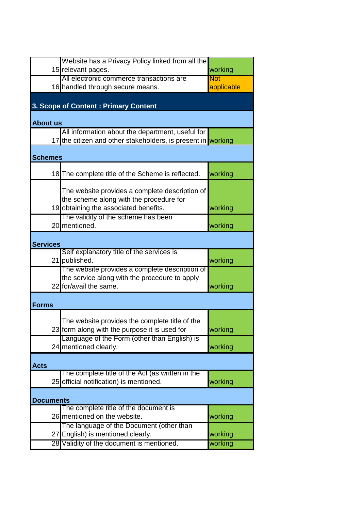|                  | Website has a Privacy Policy linked from all the             |            |
|------------------|--------------------------------------------------------------|------------|
|                  | 15 relevant pages.                                           | working    |
|                  | All electronic commerce transactions are                     | <b>Not</b> |
|                  | 16 handled through secure means.                             | applicable |
|                  |                                                              |            |
|                  |                                                              |            |
|                  | 3. Scope of Content: Primary Content                         |            |
|                  |                                                              |            |
| <b>About us</b>  |                                                              |            |
|                  | All information about the department, useful for             |            |
|                  | 17 the citizen and other stakeholders, is present in working |            |
|                  |                                                              |            |
|                  |                                                              |            |
| <b>Schemes</b>   |                                                              |            |
|                  |                                                              |            |
|                  | 18 The complete title of the Scheme is reflected.            | working    |
|                  |                                                              |            |
|                  | The website provides a complete description of               |            |
|                  | the scheme along with the procedure for                      |            |
|                  | 19 obtaining the associated benefits.                        | working    |
|                  | The validity of the scheme has been                          |            |
|                  | 20 mentioned.                                                | working    |
|                  |                                                              |            |
|                  |                                                              |            |
| <b>Services</b>  |                                                              |            |
|                  | Self explanatory title of the services is                    |            |
|                  | 21 published.                                                | working    |
|                  | The website provides a complete description of               |            |
|                  | the service along with the procedure to apply                |            |
|                  | 22 for/avail the same.                                       | working    |
|                  |                                                              |            |
|                  |                                                              |            |
| <b>Forms</b>     |                                                              |            |
|                  |                                                              |            |
|                  | The website provides the complete title of the               |            |
|                  | 23 form along with the purpose it is used for                | working    |
|                  | Language of the Form (other than English) is                 |            |
|                  | 24 mentioned clearly.                                        | working    |
|                  |                                                              |            |
|                  |                                                              |            |
| <b>Acts</b>      |                                                              |            |
|                  | The complete title of the Act (as written in the             |            |
|                  | 25 official notification) is mentioned.                      | working    |
|                  |                                                              |            |
| <b>Documents</b> |                                                              |            |
|                  | The complete title of the document is                        |            |
|                  | 26 mentioned on the website.                                 | working    |
|                  | The language of the Document (other than                     |            |
|                  |                                                              |            |
|                  | 27 English) is mentioned clearly.                            | working    |
|                  | 28 Validity of the document is mentioned.                    | working    |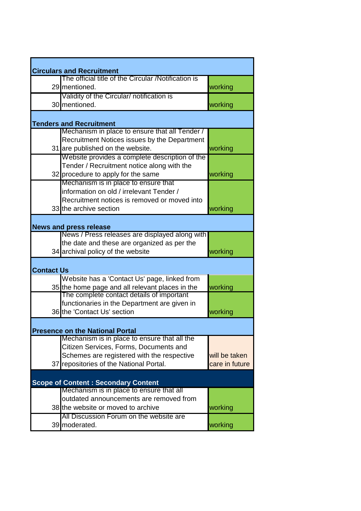|                   | <b>Circulars and Recruitment</b>                    |                |
|-------------------|-----------------------------------------------------|----------------|
|                   | The official title of the Circular /Notification is |                |
|                   | 29 mentioned.                                       | working        |
|                   | Validity of the Circular/ notification is           |                |
|                   | 30 mentioned.                                       | working        |
|                   |                                                     |                |
|                   | <b>Tenders and Recruitment</b>                      |                |
|                   | Mechanism in place to ensure that all Tender /      |                |
|                   | Recruitment Notices issues by the Department        |                |
|                   | 31 are published on the website.                    | working        |
|                   | Website provides a complete description of the      |                |
|                   | Tender / Recruitment notice along with the          |                |
|                   | 32 procedure to apply for the same                  | working        |
|                   | Mechanism is in place to ensure that                |                |
|                   | information on old / irrelevant Tender /            |                |
|                   | Recruitment notices is removed or moved into        |                |
|                   | 33 the archive section                              | working        |
|                   | <b>News and press release</b>                       |                |
|                   | News / Press releases are displayed along with      |                |
|                   | the date and these are organized as per the         |                |
|                   | 34 archival policy of the website                   | working        |
| <b>Contact Us</b> |                                                     |                |
|                   | Website has a 'Contact Us' page, linked from        |                |
|                   | 35 the home page and all relevant places in the     | working        |
|                   | The complete contact details of important           |                |
|                   | functionaries in the Department are given in        |                |
|                   | 36 the 'Contact Us' section                         | working        |
|                   | <b>Presence on the National Portal</b>              |                |
|                   | Mechanism is in place to ensure that all the        |                |
|                   | Citizen Services, Forms, Documents and              |                |
|                   | Schemes are registered with the respective          | will be taken  |
|                   | 37 repositories of the National Portal.             | care in future |
|                   | <b>Scope of Content: Secondary Content</b>          |                |
|                   | Mechanism is in place to ensure that all            |                |
|                   | outdated announcements are removed from             |                |
|                   | 38 the website or moved to archive                  | working        |
|                   | All Discussion Forum on the website are             |                |
|                   | 39 moderated.                                       | working        |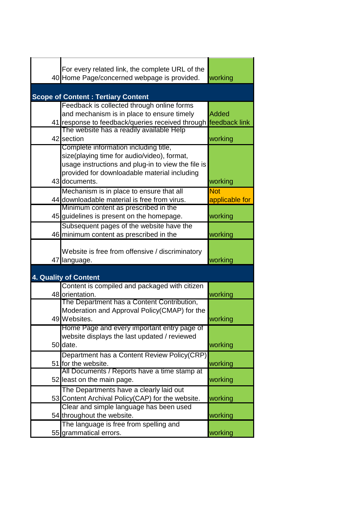| For every related link, the complete URL of the<br>40 Home Page/concerned webpage is provided.                                                                                                              | working                      |
|-------------------------------------------------------------------------------------------------------------------------------------------------------------------------------------------------------------|------------------------------|
| <b>Scope of Content: Tertiary Content</b>                                                                                                                                                                   |                              |
| Feedback is collected through online forms<br>and mechanism is in place to ensure timely<br>41 response to feedback/queries received through feedback link                                                  | <b>Added</b>                 |
| The website has a readily available Help<br>42 section                                                                                                                                                      | working                      |
| Complete information including title,<br>size(playing time for audio/video), format,<br>usage instructions and plug-in to view the file is<br>provided for downloadable material including<br>43 documents. | working                      |
| Mechanism is in place to ensure that all<br>44 downloadable material is free from virus.                                                                                                                    | <b>Not</b><br>applicable for |
| Minimum content as prescribed in the<br>45 guidelines is present on the homepage.                                                                                                                           | working                      |
| Subsequent pages of the website have the<br>46 minimum content as prescribed in the                                                                                                                         | working                      |
| Website is free from offensive / discriminatory<br>47 language.                                                                                                                                             | working                      |
| 4. Quality of Content                                                                                                                                                                                       |                              |
| Content is compiled and packaged with citizen<br>48 orientation.                                                                                                                                            | working                      |
| The Department has a Content Contribution,<br>Moderation and Approval Policy(CMAP) for the<br>49 Websites.                                                                                                  | working                      |
| Home Page and every important entry page of<br>website displays the last updated / reviewed<br>50 date.                                                                                                     | working                      |
| Department has a Content Review Policy(CRP)<br>51 for the website.                                                                                                                                          | working                      |
| All Documents / Reports have a time stamp at<br>52 least on the main page.                                                                                                                                  | working                      |
| The Departments have a clearly laid out<br>53 Content Archival Policy(CAP) for the website.                                                                                                                 | working                      |
| Clear and simple language has been used<br>54 throughout the website.                                                                                                                                       | working                      |
| The language is free from spelling and<br>55 grammatical errors.                                                                                                                                            | working                      |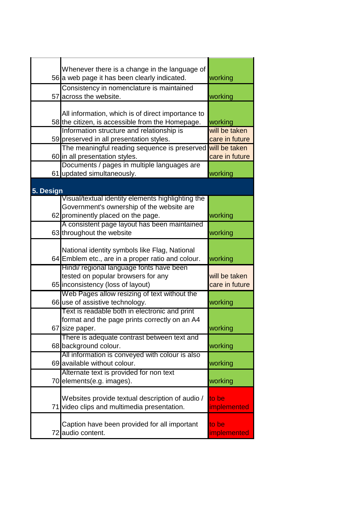|           | Whenever there is a change in the language of                                                 |                |
|-----------|-----------------------------------------------------------------------------------------------|----------------|
|           | 56 a web page it has been clearly indicated.                                                  | working        |
|           | Consistency in nomenclature is maintained                                                     |                |
|           | 57 across the website.                                                                        | working        |
|           | All information, which is of direct importance to                                             |                |
|           | 58 the citizen, is accessible from the Homepage.                                              | working        |
|           | Information structure and relationship is                                                     | will be taken  |
|           | 59 preserved in all presentation styles.                                                      | care in future |
|           | The meaningful reading sequence is preserved                                                  | will be taken  |
|           | 60 in all presentation styles.                                                                | care in future |
|           | Documents / pages in multiple languages are                                                   |                |
|           | 61 updated simultaneously.                                                                    | working        |
| 5. Design |                                                                                               |                |
|           | Visual/textual identity elements highlighting the                                             |                |
|           | Government's ownership of the website are                                                     |                |
|           | 62 prominently placed on the page.                                                            | working        |
|           | A consistent page layout has been maintained                                                  |                |
|           | 63 throughout the website                                                                     | working        |
|           |                                                                                               |                |
|           | National identity symbols like Flag, National                                                 |                |
|           | 64 Emblem etc., are in a proper ratio and colour.<br>Hindi/ regional language fonts have been | working        |
|           | tested on popular browsers for any                                                            | will be taken  |
|           | 65 inconsistency (loss of layout)                                                             | care in future |
|           | Web Pages allow resizing of text without the                                                  |                |
|           | 66 use of assistive technology.                                                               | working        |
|           | Text is readable both in electronic and print                                                 |                |
|           | format and the page prints correctly on an A4                                                 |                |
|           | 67 size paper.                                                                                | working        |
|           | There is adequate contrast between text and                                                   |                |
|           | 68 background colour.                                                                         | working        |
|           | All information is conveyed with colour is also<br>69 available without colour.               | working        |
|           | Alternate text is provided for non text                                                       |                |
|           | 70 elements(e.g. images).                                                                     | working        |
|           |                                                                                               |                |
|           | Websites provide textual description of audio /                                               | to be          |
| 71        | video clips and multimedia presentation.                                                      | implemented    |
|           |                                                                                               |                |
|           | Caption have been provided for all important                                                  | to be          |
|           | 72 audio content.                                                                             | implemented    |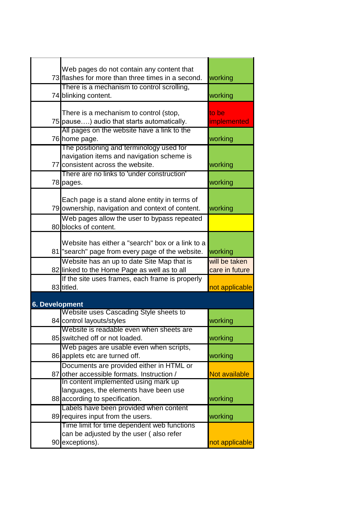|                       | Web pages do not contain any content that<br>73 flashes for more than three times in a second.                             |                                 |
|-----------------------|----------------------------------------------------------------------------------------------------------------------------|---------------------------------|
|                       |                                                                                                                            | working                         |
|                       | There is a mechanism to control scrolling,<br>74 blinking content.                                                         | working                         |
|                       | There is a mechanism to control (stop,<br>75 pause) audio that starts automatically.                                       | to be<br>implemented            |
|                       | All pages on the website have a link to the<br>76 home page.                                                               | working                         |
|                       | The positioning and terminology used for<br>navigation items and navigation scheme is<br>77 consistent across the website. | working                         |
|                       | There are no links to 'under construction'<br>78 pages.                                                                    | working                         |
|                       | Each page is a stand alone entity in terms of<br>79 ownership, navigation and context of content.                          | working                         |
|                       | Web pages allow the user to bypass repeated<br>80 blocks of content.                                                       |                                 |
|                       | Website has either a "search" box or a link to a<br>81 "search" page from every page of the website.                       | working                         |
|                       | Website has an up to date Site Map that is<br>82 linked to the Home Page as well as to all                                 | will be taken<br>care in future |
|                       | If the site uses frames, each frame is properly<br>83 titled.                                                              | not applicable                  |
|                       |                                                                                                                            |                                 |
| <b>6. Development</b> |                                                                                                                            |                                 |
|                       | Website uses Cascading Style sheets to                                                                                     |                                 |
|                       | 84 control layouts/styles                                                                                                  | working                         |
|                       | Website is readable even when sheets are<br>85 switched off or not loaded.                                                 | working                         |
|                       | Web pages are usable even when scripts,<br>86 applets etc are turned off.                                                  | working                         |
|                       | Documents are provided either in HTML or<br>87 other accessible formats. Instruction /                                     | <b>Not available</b>            |
|                       | In content implemented using mark up<br>languages, the elements have been use<br>88 according to specification.            | working                         |
|                       | Labels have been provided when content<br>89 requires input from the users.                                                | working                         |
|                       | Time limit for time dependent web functions<br>can be adjusted by the user (also refer<br>90 exceptions).                  | not applicable                  |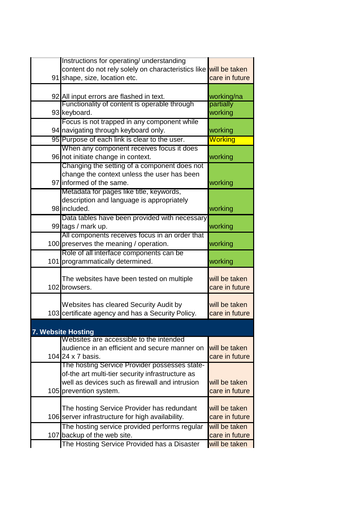| Instructions for operating/ understanding<br>content do not rely solely on characteristics like will be taken |                    |
|---------------------------------------------------------------------------------------------------------------|--------------------|
| 91 shape, size, location etc.                                                                                 | care in future     |
|                                                                                                               |                    |
| 92 All input errors are flashed in text.                                                                      | working/na         |
| Functionality of content is operable through                                                                  | partially          |
| 93 keyboard.                                                                                                  | working            |
| Focus is not trapped in any component while                                                                   |                    |
| 94 navigating through keyboard only.<br>95 Purpose of each link is clear to the user.                         | working<br>Working |
| When any component receives focus it does                                                                     |                    |
| 96 not initiate change in context.                                                                            | working            |
| Changing the setting of a component does not                                                                  |                    |
| change the context unless the user has been                                                                   |                    |
| 97 informed of the same.                                                                                      | working            |
| Metadata for pages like title, keywords,                                                                      |                    |
| description and language is appropriately                                                                     |                    |
| 98 included.                                                                                                  | working            |
| Data tables have been provided with necessary                                                                 |                    |
| 99 tags / mark up.<br>All components receives focus in an order that                                          | working            |
| 100 preserves the meaning / operation.                                                                        | working            |
| Role of all interface components can be                                                                       |                    |
| 101 programmatically determined.                                                                              | working            |
| The websites have been tested on multiple                                                                     | will be taken      |
| 102 browsers.                                                                                                 | care in future     |
| Websites has cleared Security Audit by                                                                        | will be taken      |
| 103 certificate agency and has a Security Policy.                                                             | care in future     |
|                                                                                                               |                    |
| 7. Website Hosting                                                                                            |                    |
| Websites are accessible to the intended                                                                       |                    |
| audience in an efficient and secure manner on                                                                 | will be taken      |
| 104 24 x 7 basis.                                                                                             | care in future     |
| The hosting Service Provider possesses state-<br>of-the art multi-tier security infrastructure as             |                    |
| well as devices such as firewall and intrusion                                                                | will be taken      |
| 105 prevention system.                                                                                        | care in future     |
|                                                                                                               |                    |
| The hosting Service Provider has redundant                                                                    | will be taken      |
| 106 server infrastructure for high availability.                                                              | care in future     |
| The hosting service provided performs regular                                                                 | will be taken      |
| 107 backup of the web site.                                                                                   | care in future     |
| The Hosting Service Provided has a Disaster                                                                   | will be taken      |